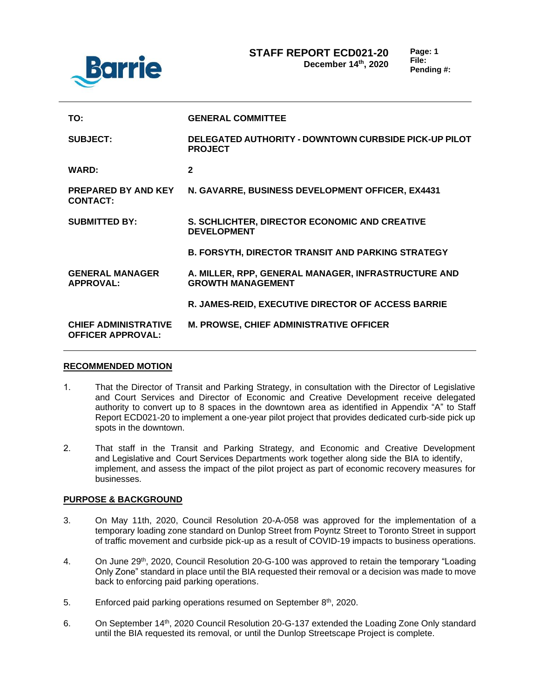

| TO:                                                     | <b>GENERAL COMMITTEE</b>                                                        |
|---------------------------------------------------------|---------------------------------------------------------------------------------|
| <b>SUBJECT:</b>                                         | <b>DELEGATED AUTHORITY - DOWNTOWN CURBSIDE PICK-UP PILOT</b><br><b>PROJECT</b>  |
| <b>WARD:</b>                                            | $\mathbf{2}$                                                                    |
| <b>PREPARED BY AND KEY</b><br><b>CONTACT:</b>           | N. GAVARRE, BUSINESS DEVELOPMENT OFFICER, EX4431                                |
| <b>SUBMITTED BY:</b>                                    | S. SCHLICHTER, DIRECTOR ECONOMIC AND CREATIVE<br><b>DEVELOPMENT</b>             |
|                                                         | <b>B. FORSYTH, DIRECTOR TRANSIT AND PARKING STRATEGY</b>                        |
| <b>GENERAL MANAGER</b><br><b>APPROVAL:</b>              | A. MILLER, RPP, GENERAL MANAGER, INFRASTRUCTURE AND<br><b>GROWTH MANAGEMENT</b> |
|                                                         | R. JAMES-REID, EXECUTIVE DIRECTOR OF ACCESS BARRIE                              |
| <b>CHIEF ADMINISTRATIVE</b><br><b>OFFICER APPROVAL:</b> | <b>M. PROWSE, CHIEF ADMINISTRATIVE OFFICER</b>                                  |

#### **RECOMMENDED MOTION**

- 1. That the Director of Transit and Parking Strategy, in consultation with the Director of Legislative and Court Services and Director of Economic and Creative Development receive delegated authority to convert up to 8 spaces in the downtown area as identified in Appendix "A" to Staff Report ECD021-20 to implement a one-year pilot project that provides dedicated curb-side pick up spots in the downtown.
- 2. That staff in the Transit and Parking Strategy, and Economic and Creative Development and Legislative and Court Services Departments work together along side the BIA to identify, implement, and assess the impact of the pilot project as part of economic recovery measures for businesses.

#### **PURPOSE & BACKGROUND**

- 3. On May 11th, 2020, Council Resolution 20-A-058 was approved for the implementation of a temporary loading zone standard on Dunlop Street from Poyntz Street to Toronto Street in support of traffic movement and curbside pick-up as a result of COVID-19 impacts to business operations.
- 4. On June 29<sup>th</sup>, 2020, Council Resolution 20-G-100 was approved to retain the temporary "Loading" Only Zone" standard in place until the BIA requested their removal or a decision was made to move back to enforcing paid parking operations.
- 5. Enforced paid parking operations resumed on September 8<sup>th</sup>, 2020.
- 6. On September 14th, 2020 Council Resolution 20-G-137 extended the Loading Zone Only standard until the BIA requested its removal, or until the Dunlop Streetscape Project is complete.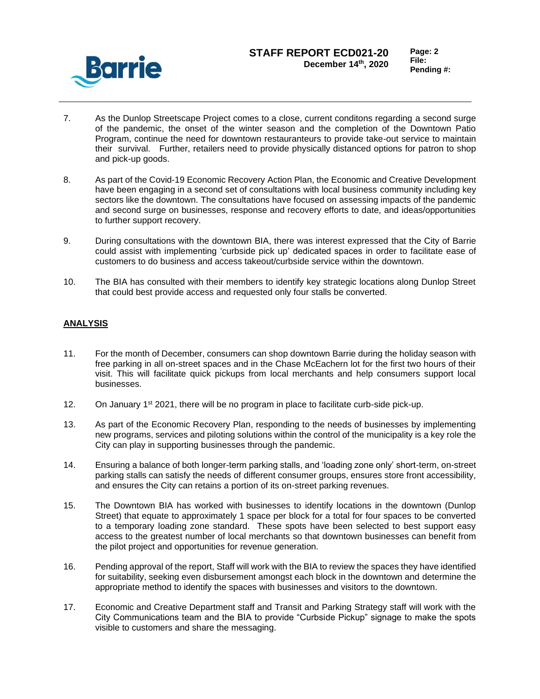

## **STAFF REPORT ECD021-20 December 14th, 2020**

- 7. As the Dunlop Streetscape Project comes to a close, current conditons regarding a second surge of the pandemic, the onset of the winter season and the completion of the Downtown Patio Program, continue the need for downtown restauranteurs to provide take-out service to maintain their survival. Further, retailers need to provide physically distanced options for patron to shop and pick-up goods.
- 8. As part of the Covid-19 Economic Recovery Action Plan, the Economic and Creative Development have been engaging in a second set of consultations with local business community including key sectors like the downtown. The consultations have focused on assessing impacts of the pandemic and second surge on businesses, response and recovery efforts to date, and ideas/opportunities to further support recovery.
- 9. During consultations with the downtown BIA, there was interest expressed that the City of Barrie could assist with implementing 'curbside pick up' dedicated spaces in order to facilitate ease of customers to do business and access takeout/curbside service within the downtown.
- 10. The BIA has consulted with their members to identify key strategic locations along Dunlop Street that could best provide access and requested only four stalls be converted.

## **ANALYSIS**

- 11. For the month of December, consumers can shop downtown Barrie during the holiday season with free parking in all on-street spaces and in the Chase McEachern lot for the first two hours of their visit. This will facilitate quick pickups from local merchants and help consumers support local businesses.
- 12. On January  $1^{st}$  2021, there will be no program in place to facilitate curb-side pick-up.
- 13. As part of the Economic Recovery Plan, responding to the needs of businesses by implementing new programs, services and piloting solutions within the control of the municipality is a key role the City can play in supporting businesses through the pandemic.
- 14. Ensuring a balance of both longer-term parking stalls, and 'loading zone only' short-term, on-street parking stalls can satisfy the needs of different consumer groups, ensures store front accessibility, and ensures the City can retains a portion of its on-street parking revenues.
- 15. The Downtown BIA has worked with businesses to identify locations in the downtown (Dunlop Street) that equate to approximately 1 space per block for a total for four spaces to be converted to a temporary loading zone standard. These spots have been selected to best support easy access to the greatest number of local merchants so that downtown businesses can benefit from the pilot project and opportunities for revenue generation.
- 16. Pending approval of the report, Staff will work with the BIA to review the spaces they have identified for suitability, seeking even disbursement amongst each block in the downtown and determine the appropriate method to identify the spaces with businesses and visitors to the downtown.
- 17. Economic and Creative Department staff and Transit and Parking Strategy staff will work with the City Communications team and the BIA to provide "Curbside Pickup" signage to make the spots visible to customers and share the messaging.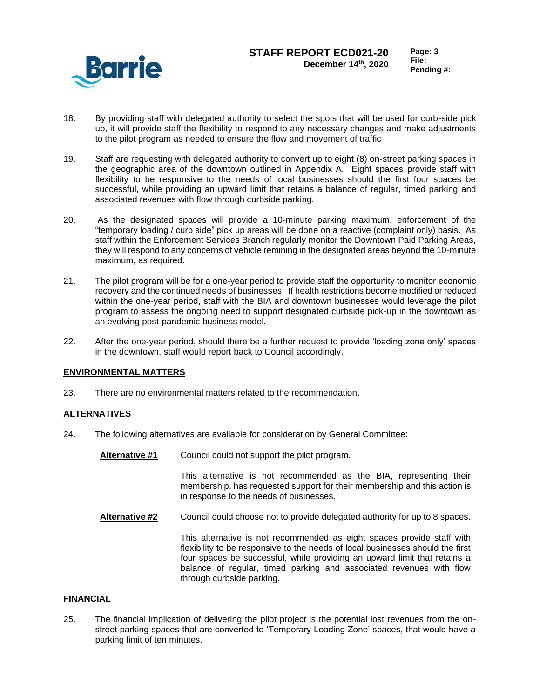

- 18. By providing staff with delegated authority to select the spots that will be used for curb-side pick up, it will provide staff the flexibility to respond to any necessary changes and make adjustments to the pilot program as needed to ensure the flow and movement of traffic
- 19. Staff are requesting with delegated authority to convert up to eight (8) on-street parking spaces in the geographic area of the downtown outlined in Appendix A. Eight spaces provide staff with flexibility to be responsive to the needs of local businesses should the first four spaces be successful, while providing an upward limit that retains a balance of regular, timed parking and associated revenues with flow through curbside parking.
- 20. As the designated spaces will provide a 10-minute parking maximum, enforcement of the "temporary loading / curb side" pick up areas will be done on a reactive (complaint only) basis. As staff within the Enforcement Services Branch regularly monitor the Downtown Paid Parking Areas, they will respond to any concerns of vehicle remining in the designated areas beyond the 10-minute maximum, as required.
- 21. The pilot program will be for a one-year period to provide staff the opportunity to monitor economic recovery and the continued needs of businesses. If health restrictions become modified or reduced within the one-year period, staff with the BIA and downtown businesses would leverage the pilot program to assess the ongoing need to support designated curbside pick-up in the downtown as an evolving post-pandemic business model.
- 22. After the one-year period, should there be a further request to provide 'loading zone only' spaces in the downtown, staff would report back to Council accordingly.

#### **ENVIRONMENTAL MATTERS**

23. There are no environmental matters related to the recommendation.

#### **ALTERNATIVES**

- 24. The following alternatives are available for consideration by General Committee:
	- **Alternative #1** Council could not support the pilot program.

This alternative is not recommended as the BIA, representing their membership, has requested support for their membership and this action is in response to the needs of businesses.

**Alternative #2** Council could choose not to provide delegated authority for up to 8 spaces.

This alternative is not recommended as eight spaces provide staff with flexibility to be responsive to the needs of local businesses should the first four spaces be successful, while providing an upward limit that retains a balance of regular, timed parking and associated revenues with flow through curbside parking.

#### **FINANCIAL**

25. The financial implication of delivering the pilot project is the potential lost revenues from the onstreet parking spaces that are converted to 'Temporary Loading Zone' spaces, that would have a parking limit of ten minutes.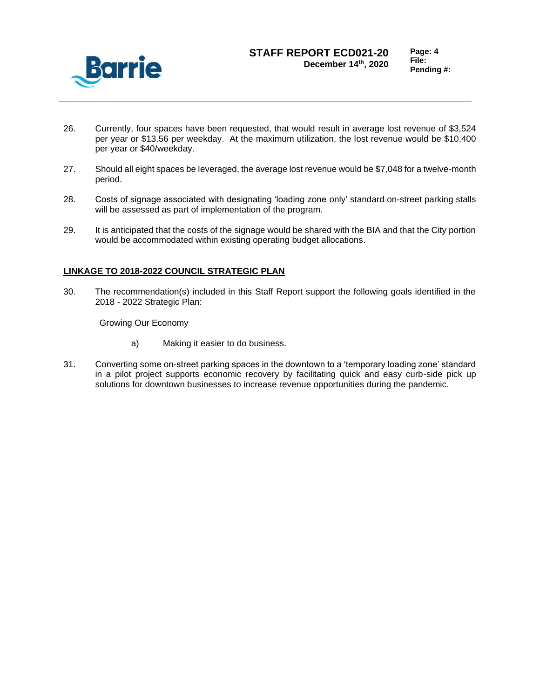

## **STAFF REPORT ECD021-20 December 14th, 2020**

- 26. Currently, four spaces have been requested, that would result in average lost revenue of \$3,524 per year or \$13.56 per weekday. At the maximum utilization, the lost revenue would be \$10,400 per year or \$40/weekday.
- 27. Should all eight spaces be leveraged, the average lost revenue would be \$7,048 for a twelve-month period.
- 28. Costs of signage associated with designating 'loading zone only' standard on-street parking stalls will be assessed as part of implementation of the program.
- 29. It is anticipated that the costs of the signage would be shared with the BIA and that the City portion would be accommodated within existing operating budget allocations.

#### **LINKAGE TO 2018-2022 COUNCIL STRATEGIC PLAN**

30. The recommendation(s) included in this Staff Report support the following goals identified in the 2018 - 2022 Strategic Plan:

Growing Our Economy

- a) Making it easier to do business.
- 31. Converting some on-street parking spaces in the downtown to a 'temporary loading zone' standard in a pilot project supports economic recovery by facilitating quick and easy curb-side pick up solutions for downtown businesses to increase revenue opportunities during the pandemic.